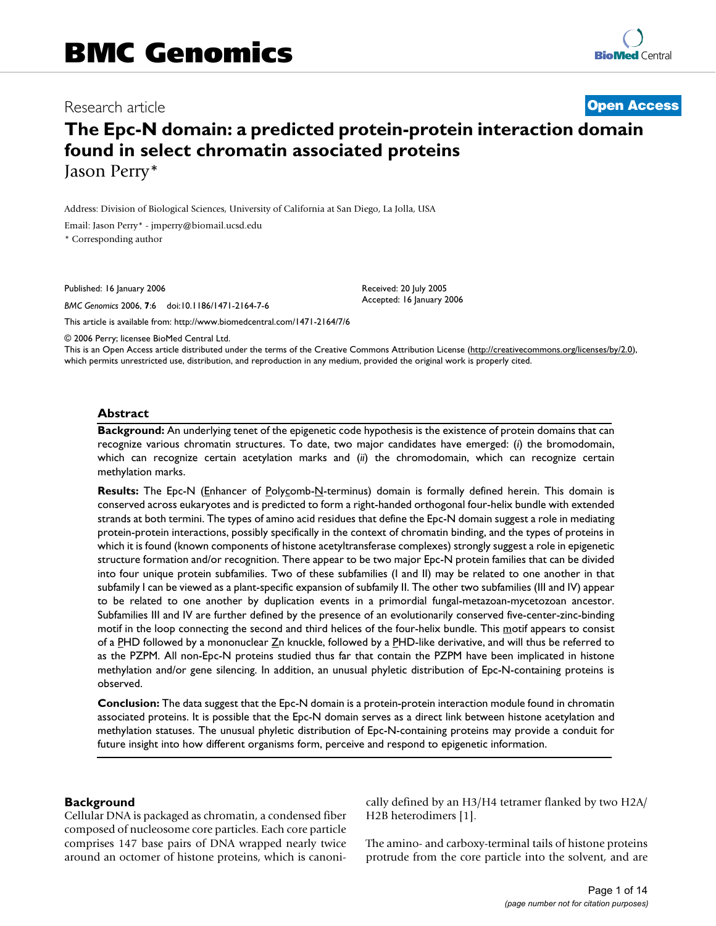Research article **[Open Access](http://www.biomedcentral.com/info/about/charter/)**

# **The Epc-N domain: a predicted protein-protein interaction domain found in select chromatin associated proteins** Jason Perry\*

Address: Division of Biological Sciences, University of California at San Diego, La Jolla, USA

Email: Jason Perry\* - jmperry@biomail.ucsd.edu

\* Corresponding author

Published: 16 January 2006

*BMC Genomics* 2006, **7**:6 doi:10.1186/1471-2164-7-6

[This article is available from: http://www.biomedcentral.com/1471-2164/7/6](http://www.biomedcentral.com/1471-2164/7/6)

© 2006 Perry; licensee BioMed Central Ltd.

This is an Open Access article distributed under the terms of the Creative Commons Attribution License [\(http://creativecommons.org/licenses/by/2.0\)](http://creativecommons.org/licenses/by/2.0), which permits unrestricted use, distribution, and reproduction in any medium, provided the original work is properly cited.

Received: 20 July 2005 Accepted: 16 January 2006

#### **Abstract**

**Background:** An underlying tenet of the epigenetic code hypothesis is the existence of protein domains that can recognize various chromatin structures. To date, two major candidates have emerged: (*i*) the bromodomain, which can recognize certain acetylation marks and (*ii*) the chromodomain, which can recognize certain methylation marks.

Results: The Epc-N (Enhancer of Polycomb-N-terminus) domain is formally defined herein. This domain is conserved across eukaryotes and is predicted to form a right-handed orthogonal four-helix bundle with extended strands at both termini. The types of amino acid residues that define the Epc-N domain suggest a role in mediating protein-protein interactions, possibly specifically in the context of chromatin binding, and the types of proteins in which it is found (known components of histone acetyltransferase complexes) strongly suggest a role in epigenetic structure formation and/or recognition. There appear to be two major Epc-N protein families that can be divided into four unique protein subfamilies. Two of these subfamilies (I and II) may be related to one another in that subfamily I can be viewed as a plant-specific expansion of subfamily II. The other two subfamilies (III and IV) appear to be related to one another by duplication events in a primordial fungal-metazoan-mycetozoan ancestor. Subfamilies III and IV are further defined by the presence of an evolutionarily conserved five-center-zinc-binding motif in the loop connecting the second and third helices of the four-helix bundle. This motif appears to consist of a PHD followed by a mononuclear  $Zn$  knuckle, followed by a PHD-like derivative, and will thus be referred to as the PZPM. All non-Epc-N proteins studied thus far that contain the PZPM have been implicated in histone methylation and/or gene silencing. In addition, an unusual phyletic distribution of Epc-N-containing proteins is observed.

**Conclusion:** The data suggest that the Epc-N domain is a protein-protein interaction module found in chromatin associated proteins. It is possible that the Epc-N domain serves as a direct link between histone acetylation and methylation statuses. The unusual phyletic distribution of Epc-N-containing proteins may provide a conduit for future insight into how different organisms form, perceive and respond to epigenetic information.

#### **Background**

Cellular DNA is packaged as chromatin, a condensed fiber composed of nucleosome core particles. Each core particle comprises 147 base pairs of DNA wrapped nearly twice around an octomer of histone proteins, which is canonically defined by an H3/H4 tetramer flanked by two H2A/ H2B heterodimers [1].

The amino- and carboxy-terminal tails of histone proteins protrude from the core particle into the solvent, and are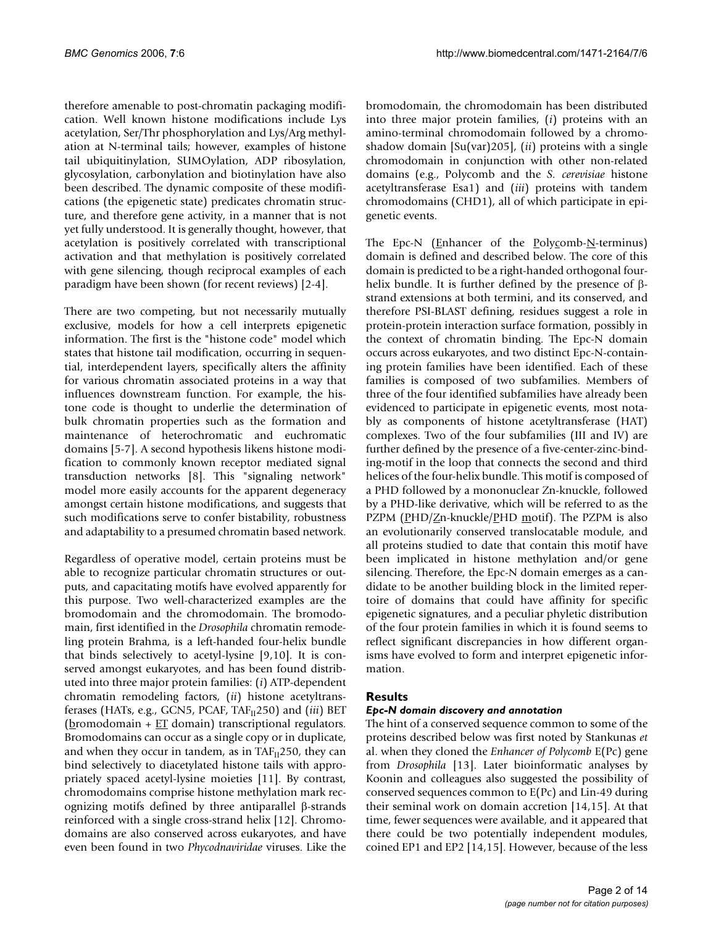therefore amenable to post-chromatin packaging modification. Well known histone modifications include Lys acetylation, Ser/Thr phosphorylation and Lys/Arg methylation at N-terminal tails; however, examples of histone tail ubiquitinylation, SUMOylation, ADP ribosylation, glycosylation, carbonylation and biotinylation have also been described. The dynamic composite of these modifications (the epigenetic state) predicates chromatin structure, and therefore gene activity, in a manner that is not yet fully understood. It is generally thought, however, that acetylation is positively correlated with transcriptional activation and that methylation is positively correlated with gene silencing, though reciprocal examples of each paradigm have been shown (for recent reviews) [2-4].

There are two competing, but not necessarily mutually exclusive, models for how a cell interprets epigenetic information. The first is the "histone code" model which states that histone tail modification, occurring in sequential, interdependent layers, specifically alters the affinity for various chromatin associated proteins in a way that influences downstream function. For example, the histone code is thought to underlie the determination of bulk chromatin properties such as the formation and maintenance of heterochromatic and euchromatic domains [5-7]. A second hypothesis likens histone modification to commonly known receptor mediated signal transduction networks [8]. This "signaling network" model more easily accounts for the apparent degeneracy amongst certain histone modifications, and suggests that such modifications serve to confer bistability, robustness and adaptability to a presumed chromatin based network.

Regardless of operative model, certain proteins must be able to recognize particular chromatin structures or outputs, and capacitating motifs have evolved apparently for this purpose. Two well-characterized examples are the bromodomain and the chromodomain. The bromodomain, first identified in the *Drosophila* chromatin remodeling protein Brahma, is a left-handed four-helix bundle that binds selectively to acetyl-lysine [9,10]. It is conserved amongst eukaryotes, and has been found distributed into three major protein families: (*i*) ATP-dependent chromatin remodeling factors, (*ii*) histone acetyltransferases (HATs, e.g., GCN5, PCAF, TAF<sub>II</sub>250) and *(iii)* BET (bromodomain +  $ET$  domain) transcriptional regulators. Bromodomains can occur as a single copy or in duplicate, and when they occur in tandem, as in TAF $_{II}$ 250, they can bind selectively to diacetylated histone tails with appropriately spaced acetyl-lysine moieties [11]. By contrast, chromodomains comprise histone methylation mark recognizing motifs defined by three antiparallel β-strands reinforced with a single cross-strand helix [12]. Chromodomains are also conserved across eukaryotes, and have even been found in two *Phycodnaviridae* viruses. Like the

bromodomain, the chromodomain has been distributed into three major protein families, (*i*) proteins with an amino-terminal chromodomain followed by a chromoshadow domain [Su(var)205], (*ii*) proteins with a single chromodomain in conjunction with other non-related domains (e.g., Polycomb and the *S. cerevisiae* histone acetyltransferase Esa1) and (*iii*) proteins with tandem chromodomains (CHD1), all of which participate in epigenetic events.

The Epc-N (Enhancer of the Polycomb-N-terminus) domain is defined and described below. The core of this domain is predicted to be a right-handed orthogonal fourhelix bundle. It is further defined by the presence of βstrand extensions at both termini, and its conserved, and therefore PSI-BLAST defining, residues suggest a role in protein-protein interaction surface formation, possibly in the context of chromatin binding. The Epc-N domain occurs across eukaryotes, and two distinct Epc-N-containing protein families have been identified. Each of these families is composed of two subfamilies. Members of three of the four identified subfamilies have already been evidenced to participate in epigenetic events, most notably as components of histone acetyltransferase (HAT) complexes. Two of the four subfamilies (III and IV) are further defined by the presence of a five-center-zinc-binding-motif in the loop that connects the second and third helices of the four-helix bundle. This motif is composed of a PHD followed by a mononuclear Zn-knuckle, followed by a PHD-like derivative, which will be referred to as the PZPM  $(PHD/Zn-knuckle/PHD \text{ motif}).$  The PZPM is also an evolutionarily conserved translocatable module, and all proteins studied to date that contain this motif have been implicated in histone methylation and/or gene silencing. Therefore, the Epc-N domain emerges as a candidate to be another building block in the limited repertoire of domains that could have affinity for specific epigenetic signatures, and a peculiar phyletic distribution of the four protein families in which it is found seems to reflect significant discrepancies in how different organisms have evolved to form and interpret epigenetic information.

# **Results**

# *Epc-N domain discovery and annotation*

The hint of a conserved sequence common to some of the proteins described below was first noted by Stankunas *et* al. when they cloned the *Enhancer of Polycomb* E(Pc) gene from *Drosophila* [[13\]](#page-12-0). Later bioinformatic analyses by Koonin and colleagues also suggested the possibility of conserved sequences common to E(Pc) and Lin-49 during their seminal work on domain accretion [14,15]. At that time, fewer sequences were available, and it appeared that there could be two potentially independent modules, coined EP1 and EP2 [14,15]. However, because of the less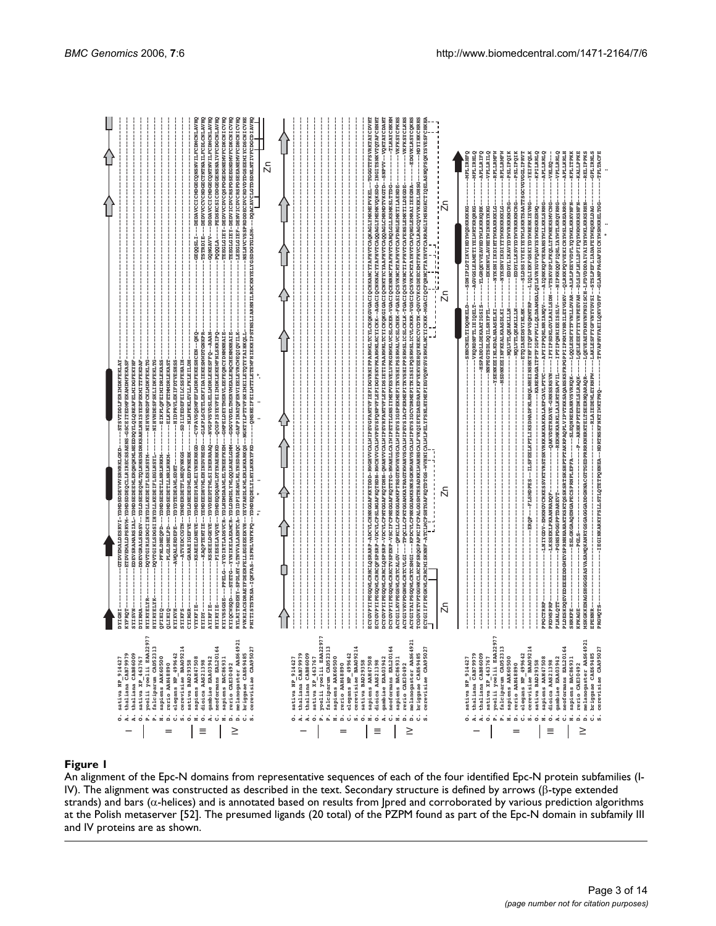

IV) **Figure 1** An alignment of the Epc-N domains from representative sequences of each of the four identified Epc-N protein subfamilies (I-An alignment of the Epc-N domains from representative sequences of each of the four identified Epc-N protein subfamilies (I-IV). The alignment was constructed as described in the text. Secondary structure is defined by arrows (β-type extended strands) and bars ( $\alpha$ -helices) and is annotated based on results from Jpred and corroborated by various prediction algorithms at the Polish metaserver [52]. The presumed ligands (20 total) of the PZPM found as part of the Epc-N domain in subfamily III and IV proteins are as shown.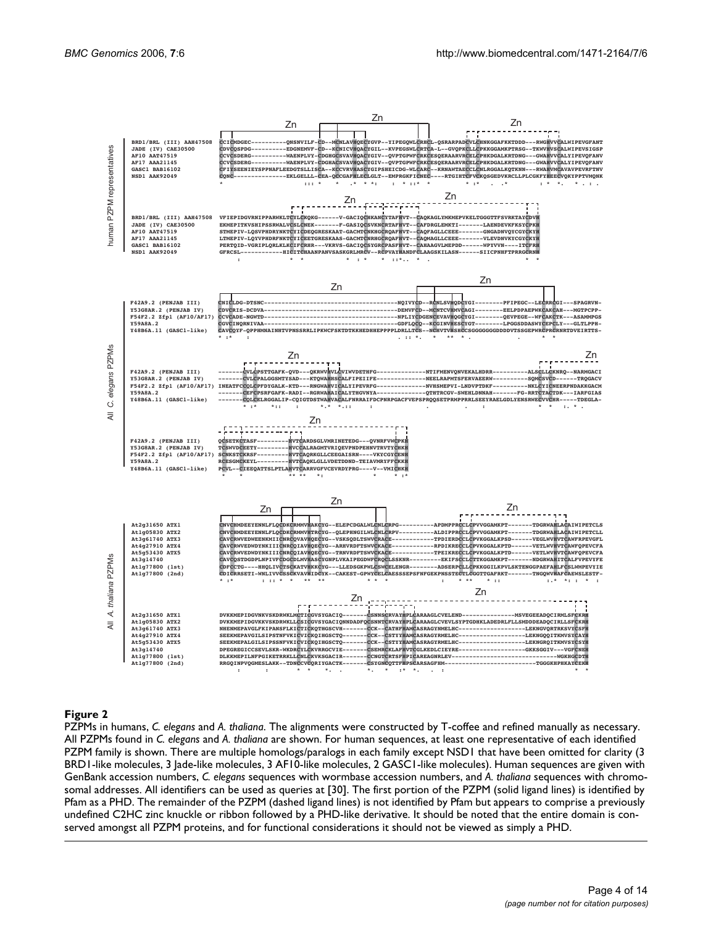

PZPMs in humans, *C. elegans* and *A. thaliana*. The alignments were constructed by T-coffee and refined manually as necessary. All PZPMs found in *C. elegans* and *A. thaliana* are shown. For human sequences, at least one representative of each identified PZPM family is shown. There are multiple homologs/paralogs in each family except NSD1 that have been omitted for clarity (3 BRD1-like molecules, 3 Jade-like molecules, 3 AF10-like molecules, 2 GASC1-like molecules). Human sequences are given with GenBank accession numbers, *C. elegans* sequences with wormbase accession numbers, and *A. thaliana* sequences with chromosomal addresses. All identifiers can be used as queries at [30]. The first portion of the PZPM (solid ligand lines) is identified by Pfam as a PHD. The remainder of the PZPM (dashed ligand lines) is not identified by Pfam but appears to comprise a previously undefined C2HC zinc knuckle or ribbon followed by a PHD-like derivative. It should be noted that the entire domain is conserved amongst all PZPM proteins, and for functional considerations it should not be viewed as simply a PHD.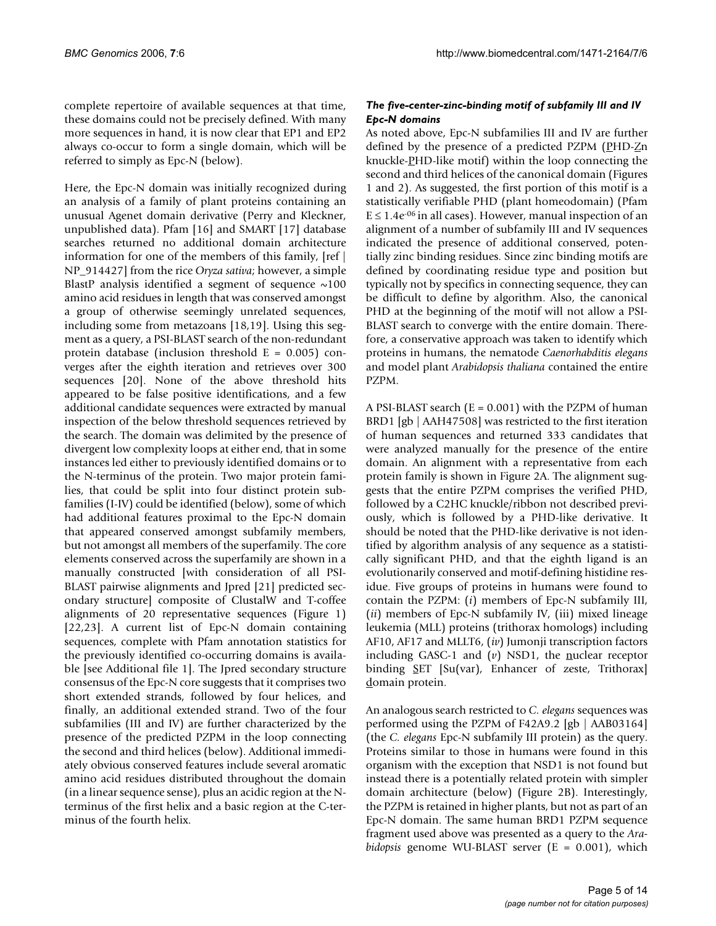complete repertoire of available sequences at that time, these domains could not be precisely defined. With many more sequences in hand, it is now clear that EP1 and EP2 always co-occur to form a single domain, which will be referred to simply as Epc-N (below).

Here, the Epc-N domain was initially recognized during an analysis of a family of plant proteins containing an unusual Agenet domain derivative (Perry and Kleckner, unpublished data). Pfam [16] and SMART [17] database searches returned no additional domain architecture information for one of the members of this family, [ref | NP\_914427] from the rice *Oryza sativa*; however, a simple BlastP analysis identified a segment of sequence  $\sim$ 100 amino acid residues in length that was conserved amongst a group of otherwise seemingly unrelated sequences, including some from metazoans [18,19]. Using this segment as a query, a PSI-BLAST search of the non-redundant protein database (inclusion threshold  $E = 0.005$ ) converges after the eighth iteration and retrieves over 300 sequences [20]. None of the above threshold hits appeared to be false positive identifications, and a few additional candidate sequences were extracted by manual inspection of the below threshold sequences retrieved by the search. The domain was delimited by the presence of divergent low complexity loops at either end, that in some instances led either to previously identified domains or to the N-terminus of the protein. Two major protein families, that could be split into four distinct protein subfamilies (I-IV) could be identified (below), some of which had additional features proximal to the Epc-N domain that appeared conserved amongst subfamily members, but not amongst all members of the superfamily. The core elements conserved across the superfamily are shown in a manually constructed [with consideration of all PSI-BLAST pairwise alignments and Jpred [21] predicted secondary structure] composite of ClustalW and T-coffee alignments of 20 representative sequences (Figure 1) [22,23]. A current list of Epc-N domain containing sequences, complete with Pfam annotation statistics for the previously identified co-occurring domains is available [see Additional file 1]. The Jpred secondary structure consensus of the Epc-N core suggests that it comprises two short extended strands, followed by four helices, and finally, an additional extended strand. Two of the four subfamilies (III and IV) are further characterized by the presence of the predicted PZPM in the loop connecting the second and third helices (below). Additional immediately obvious conserved features include several aromatic amino acid residues distributed throughout the domain (in a linear sequence sense), plus an acidic region at the Nterminus of the first helix and a basic region at the C-terminus of the fourth helix.

# *The five-center-zinc-binding motif of subfamily III and IV Epc-N domains*

As noted above, Epc-N subfamilies III and IV are further defined by the presence of a predicted PZPM ( $PHD-Zn$ </u> knuckle-PHD-like motif) within the loop connecting the second and third helices of the canonical domain (Figures 1 and 2). As suggested, the first portion of this motif is a statistically verifiable PHD (plant homeodomain) (Pfam  $E \leq 1.4e^{-06}$  in all cases). However, manual inspection of an alignment of a number of subfamily III and IV sequences indicated the presence of additional conserved, potentially zinc binding residues. Since zinc binding motifs are defined by coordinating residue type and position but typically not by specifics in connecting sequence, they can be difficult to define by algorithm. Also, the canonical PHD at the beginning of the motif will not allow a PSI-BLAST search to converge with the entire domain. Therefore, a conservative approach was taken to identify which proteins in humans, the nematode *Caenorhabditis elegans* and model plant *Arabidopsis thaliana* contained the entire PZPM.

A PSI-BLAST search  $(E = 0.001)$  with the PZPM of human BRD1 [gb | AAH47508] was restricted to the first iteration of human sequences and returned 333 candidates that were analyzed manually for the presence of the entire domain. An alignment with a representative from each protein family is shown in Figure 2A. The alignment suggests that the entire PZPM comprises the verified PHD, followed by a C2HC knuckle/ribbon not described previously, which is followed by a PHD-like derivative. It should be noted that the PHD-like derivative is not identified by algorithm analysis of any sequence as a statistically significant PHD, and that the eighth ligand is an evolutionarily conserved and motif-defining histidine residue. Five groups of proteins in humans were found to contain the PZPM: (*i*) members of Epc-N subfamily III, (*ii*) members of Epc-N subfamily IV, (iii) mixed lineage leukemia (MLL) proteins (trithorax homologs) including AF10, AF17 and MLLT6, (*iv*) Jumonji transcription factors including GASC-1 and  $(v)$  NSD1, the nuclear receptor binding <u>S</u>ET [Su(var), Enhancer of zeste, Trithorax] domain protein.

An analogous search restricted to *C. elegans* sequences was performed using the PZPM of F42A9.2 [gb | AAB03164] (the *C. elegans* Epc-N subfamily III protein) as the query. Proteins similar to those in humans were found in this organism with the exception that NSD1 is not found but instead there is a potentially related protein with simpler domain architecture (below) (Figure 2B). Interestingly, the PZPM is retained in higher plants, but not as part of an Epc-N domain. The same human BRD1 PZPM sequence fragment used above was presented as a query to the *Arabidopsis* genome WU-BLAST server (E = 0.001), which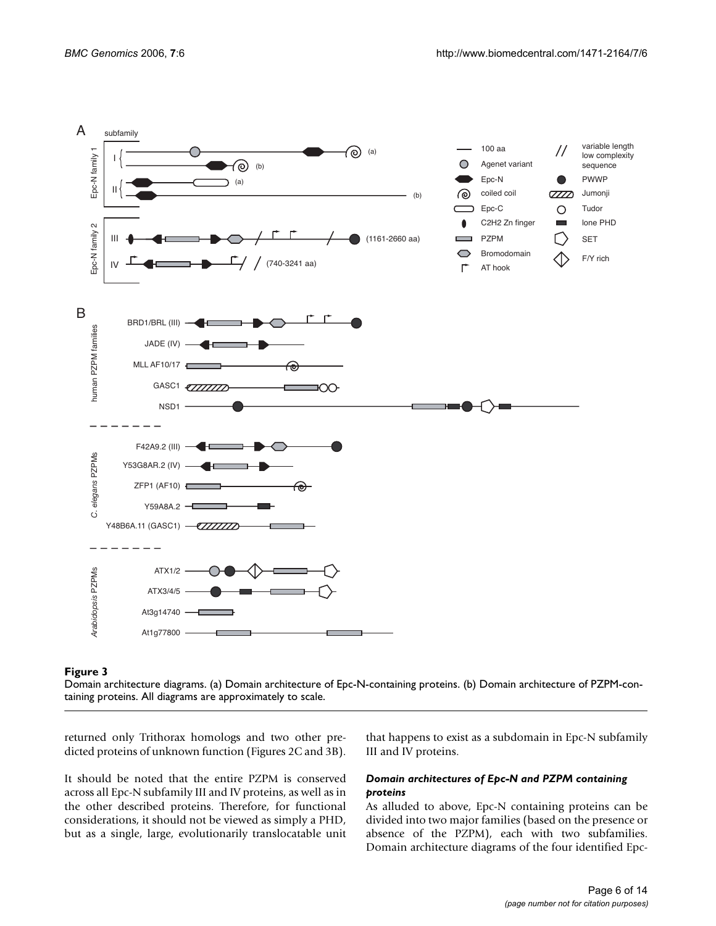

Domain architecture diagrams. (a) Domain architecture of Epc-N-containing proteins. (b) Domain architecture of PZPM-containing proteins. All diagrams are approximately to scale.

returned only Trithorax homologs and two other predicted proteins of unknown function (Figures 2C and 3B).

It should be noted that the entire PZPM is conserved across all Epc-N subfamily III and IV proteins, as well as in the other described proteins. Therefore, for functional considerations, it should not be viewed as simply a PHD, but as a single, large, evolutionarily translocatable unit that happens to exist as a subdomain in Epc-N subfamily III and IV proteins.

# *Domain architectures of Epc-N and PZPM containing proteins*

As alluded to above, Epc-N containing proteins can be divided into two major families (based on the presence or absence of the PZPM), each with two subfamilies. Domain architecture diagrams of the four identified Epc-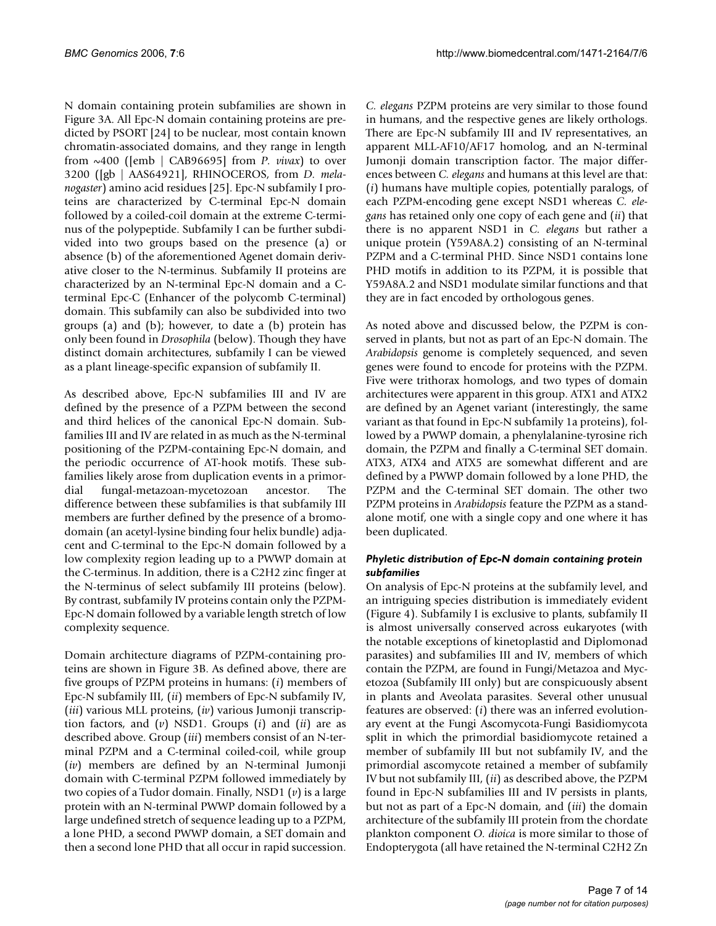N domain containing protein subfamilies are shown in Figure 3A. All Epc-N domain containing proteins are predicted by PSORT [24] to be nuclear, most contain known chromatin-associated domains, and they range in length from ~400 ([emb | CAB96695] from *P. vivax*) to over 3200 ([gb | AAS64921], RHINOCEROS, from *D. melanogaster*) amino acid residues [25]. Epc-N subfamily I proteins are characterized by C-terminal Epc-N domain followed by a coiled-coil domain at the extreme C-terminus of the polypeptide. Subfamily I can be further subdivided into two groups based on the presence (a) or absence (b) of the aforementioned Agenet domain derivative closer to the N-terminus. Subfamily II proteins are characterized by an N-terminal Epc-N domain and a Cterminal Epc-C (Enhancer of the polycomb C-terminal) domain. This subfamily can also be subdivided into two groups (a) and (b); however, to date a (b) protein has only been found in *Drosophila* (below). Though they have distinct domain architectures, subfamily I can be viewed as a plant lineage-specific expansion of subfamily II.

As described above, Epc-N subfamilies III and IV are defined by the presence of a PZPM between the second and third helices of the canonical Epc-N domain. Subfamilies III and IV are related in as much as the N-terminal positioning of the PZPM-containing Epc-N domain, and the periodic occurrence of AT-hook motifs. These subfamilies likely arose from duplication events in a primordial fungal-metazoan-mycetozoan ancestor. The difference between these subfamilies is that subfamily III members are further defined by the presence of a bromodomain (an acetyl-lysine binding four helix bundle) adjacent and C-terminal to the Epc-N domain followed by a low complexity region leading up to a PWWP domain at the C-terminus. In addition, there is a C2H2 zinc finger at the N-terminus of select subfamily III proteins (below). By contrast, subfamily IV proteins contain only the PZPM-Epc-N domain followed by a variable length stretch of low complexity sequence.

Domain architecture diagrams of PZPM-containing proteins are shown in Figure 3B. As defined above, there are five groups of PZPM proteins in humans: (*i*) members of Epc-N subfamily III, (*ii*) members of Epc-N subfamily IV, (*iii*) various MLL proteins, (*iv*) various Jumonji transcription factors, and (*v*) NSD1. Groups (*i*) and (*ii*) are as described above. Group (*iii*) members consist of an N-terminal PZPM and a C-terminal coiled-coil, while group (*iv*) members are defined by an N-terminal Jumonji domain with C-terminal PZPM followed immediately by two copies of a Tudor domain. Finally, NSD1 (*v*) is a large protein with an N-terminal PWWP domain followed by a large undefined stretch of sequence leading up to a PZPM, a lone PHD, a second PWWP domain, a SET domain and then a second lone PHD that all occur in rapid succession.

*C. elegans* PZPM proteins are very similar to those found in humans, and the respective genes are likely orthologs. There are Epc-N subfamily III and IV representatives, an apparent MLL-AF10/AF17 homolog, and an N-terminal Jumonji domain transcription factor. The major differences between *C. elegans* and humans at this level are that: (*i*) humans have multiple copies, potentially paralogs, of each PZPM-encoding gene except NSD1 whereas *C. elegans* has retained only one copy of each gene and (*ii*) that there is no apparent NSD1 in *C. elegans* but rather a unique protein (Y59A8A.2) consisting of an N-terminal PZPM and a C-terminal PHD. Since NSD1 contains lone PHD motifs in addition to its PZPM, it is possible that Y59A8A.2 and NSD1 modulate similar functions and that they are in fact encoded by orthologous genes.

As noted above and discussed below, the PZPM is conserved in plants, but not as part of an Epc-N domain. The *Arabidopsis* genome is completely sequenced, and seven genes were found to encode for proteins with the PZPM. Five were trithorax homologs, and two types of domain architectures were apparent in this group. ATX1 and ATX2 are defined by an Agenet variant (interestingly, the same variant as that found in Epc-N subfamily 1a proteins), followed by a PWWP domain, a phenylalanine-tyrosine rich domain, the PZPM and finally a C-terminal SET domain. ATX3, ATX4 and ATX5 are somewhat different and are defined by a PWWP domain followed by a lone PHD, the PZPM and the C-terminal SET domain. The other two PZPM proteins in *Arabidopsis* feature the PZPM as a standalone motif, one with a single copy and one where it has been duplicated.

# *Phyletic distribution of Epc-N domain containing protein subfamilies*

On analysis of Epc-N proteins at the subfamily level, and an intriguing species distribution is immediately evident (Figure 4). Subfamily I is exclusive to plants, subfamily II is almost universally conserved across eukaryotes (with the notable exceptions of kinetoplastid and Diplomonad parasites) and subfamilies III and IV, members of which contain the PZPM, are found in Fungi/Metazoa and Mycetozoa (Subfamily III only) but are conspicuously absent in plants and Aveolata parasites. Several other unusual features are observed: (*i*) there was an inferred evolutionary event at the Fungi Ascomycota-Fungi Basidiomycota split in which the primordial basidiomycote retained a member of subfamily III but not subfamily IV, and the primordial ascomycote retained a member of subfamily IV but not subfamily III, (*ii*) as described above, the PZPM found in Epc-N subfamilies III and IV persists in plants, but not as part of a Epc-N domain, and (*iii*) the domain architecture of the subfamily III protein from the chordate plankton component *O. dioica* is more similar to those of Endopterygota (all have retained the N-terminal C2H2 Zn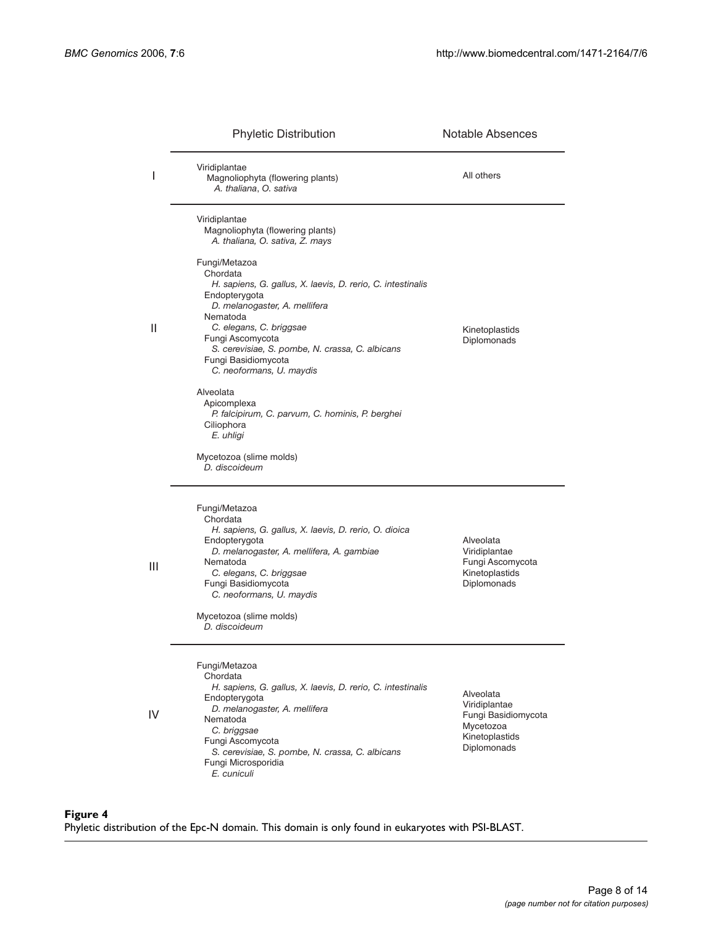| <b>Phyletic Distribution</b>                                                                                                                                                                                                                                                               | <b>Notable Absences</b><br>All others                                                           |  |  |  |
|--------------------------------------------------------------------------------------------------------------------------------------------------------------------------------------------------------------------------------------------------------------------------------------------|-------------------------------------------------------------------------------------------------|--|--|--|
| Viridiplantae<br>Magnoliophyta (flowering plants)<br>A. thaliana, O. sativa                                                                                                                                                                                                                |                                                                                                 |  |  |  |
| Viridiplantae<br>Magnoliophyta (flowering plants)<br>A. thaliana, O. sativa, Z. mays                                                                                                                                                                                                       |                                                                                                 |  |  |  |
| Chordata<br>H. sapiens, G. gallus, X. laevis, D. rerio, C. intestinalis<br>Endopterygota<br>D. melanogaster, A. mellifera<br>Nematoda<br>C. elegans, C. briggsae<br>Fungi Ascomycota<br>S. cerevisiae, S. pombe, N. crassa, C. albicans<br>Fungi Basidiomycota<br>C. neoformans, U. maydis | Kinetoplastids<br>Diplomonads                                                                   |  |  |  |
| Alveolata<br>Apicomplexa<br>P. falcipirum, C. parvum, C. hominis, P. berghei<br>Ciliophora<br>E. uhligi<br>Mycetozoa (slime molds)<br>D. discoideum                                                                                                                                        |                                                                                                 |  |  |  |
| Fungi/Metazoa                                                                                                                                                                                                                                                                              |                                                                                                 |  |  |  |
| H. sapiens, G. gallus, X. laevis, D. rerio, O. dioica<br>Endopterygota<br>D. melanogaster, A. mellifera, A. gambiae<br>Nematoda<br>C. elegans, C. briggsae<br>Fungi Basidiomycota<br>C. neoformans, U. maydis                                                                              | Alveolata<br>Viridiplantae<br>Fungi Ascomycota<br>Kinetoplastids<br>Diplomonads                 |  |  |  |
| Mycetozoa (slime molds)<br>D. discoideum                                                                                                                                                                                                                                                   |                                                                                                 |  |  |  |
| Fungi/Metazoa<br>Chordata<br>H. sapiens, G. gallus, X. laevis, D. rerio, C. intestinalis<br>Endopterygota<br>D. melanogaster, A. mellifera<br>Nematoda<br>C. briggsae<br>Fungi Ascomycota<br>S. cerevisiae, S. pombe, N. crassa, C. albicans<br>Fungi Microsporidia<br>E. cuniculi         | Alveolata<br>Viridiplantae<br>Fungi Basidiomycota<br>Mycetozoa<br>Kinetoplastids<br>Diplomonads |  |  |  |
|                                                                                                                                                                                                                                                                                            | Fungi/Metazoa<br>Chordata                                                                       |  |  |  |

Phyletic distribution of the Epc-N domain. This domain is only found in eukaryotes with PSI-BLAST.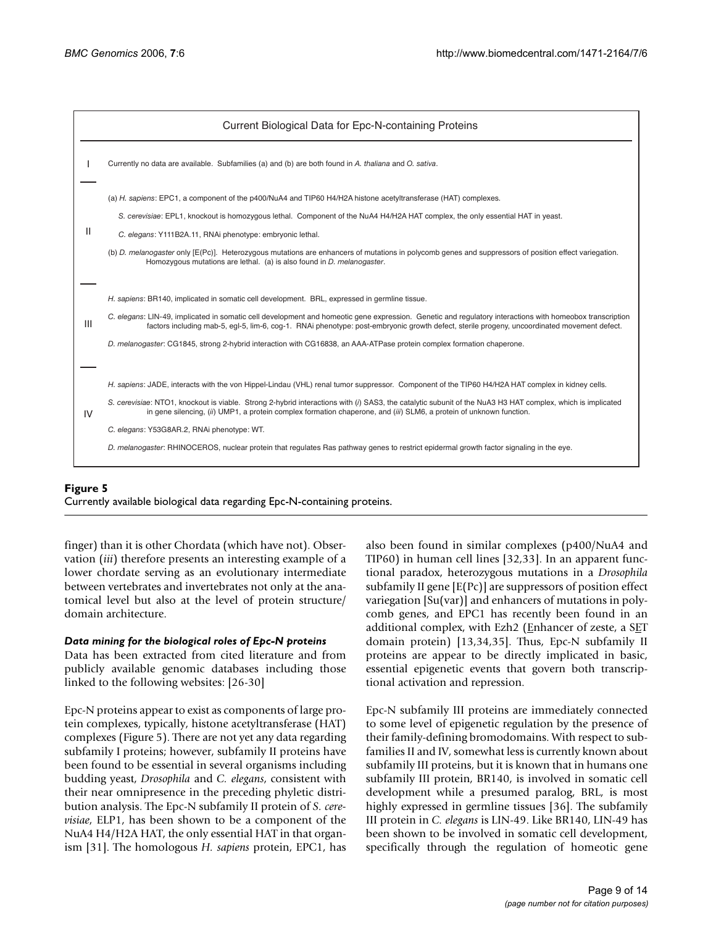|                | Current Biological Data for Epc-N-containing Proteins                                                                                                                                                                                                                                                   |
|----------------|---------------------------------------------------------------------------------------------------------------------------------------------------------------------------------------------------------------------------------------------------------------------------------------------------------|
|                | Currently no data are available. Subfamilies (a) and (b) are both found in A. thaliana and O. sativa.                                                                                                                                                                                                   |
|                | (a) H. sapiens: EPC1, a component of the p400/NuA4 and TIP60 H4/H2A histone acetyltransferase (HAT) complexes.                                                                                                                                                                                          |
|                | S. cerevisiae: EPL1, knockout is homozyqous lethal. Component of the NuA4 H4/H2A HAT complex, the only essential HAT in yeast.                                                                                                                                                                          |
| Ш              | C. elegans: Y111B2A.11, RNAi phenotype: embryonic lethal.                                                                                                                                                                                                                                               |
|                | (b) D. melanogaster only [E(Pc)]. Heterozygous mutations are enhancers of mutations in polycomb genes and suppressors of position effect variegation.<br>Homozygous mutations are lethal. (a) is also found in <i>D. melanogaster</i> .                                                                 |
|                |                                                                                                                                                                                                                                                                                                         |
|                | H. sapiens: BR140, implicated in somatic cell development. BRL, expressed in germline tissue.                                                                                                                                                                                                           |
| $\mathbf{III}$ | C. elegans: LIN-49, implicated in somatic cell development and homeotic gene expression. Genetic and requlatory interactions with homeobox transcription<br>factors including mab-5, egl-5, lim-6, cog-1. RNAi phenotype: post-embryonic growth defect, sterile progeny, uncoordinated movement defect. |
|                | D. melanogaster: CG1845, strong 2-hybrid interaction with CG16838, an AAA-ATPase protein complex formation chaperone.                                                                                                                                                                                   |
|                |                                                                                                                                                                                                                                                                                                         |
|                | H. sapiens: JADE, interacts with the von Hippel-Lindau (VHL) renal tumor suppressor. Component of the TIP60 H4/H2A HAT complex in kidney cells.                                                                                                                                                         |
| <b>IV</b>      | S. cerevisiae: NTO1, knockout is viable. Strong 2-hybrid interactions with (i) SAS3, the catalytic subunit of the NuA3 H3 HAT complex, which is implicated<br>in gene silencing, (ii) UMP1, a protein complex formation chaperone, and (iii) SLM6, a protein of unknown function.                       |
|                | C. elegans: Y53G8AR.2, RNAi phenotype: WT.                                                                                                                                                                                                                                                              |
|                | D. melanogaster: RHINOCEROS, nuclear protein that regulates Ras pathway genes to restrict epidermal growth factor signaling in the eye.                                                                                                                                                                 |
|                |                                                                                                                                                                                                                                                                                                         |

Currently available biological data regarding Epc-N-containing proteins.

finger) than it is other Chordata (which have not). Observation (*iii*) therefore presents an interesting example of a lower chordate serving as an evolutionary intermediate between vertebrates and invertebrates not only at the anatomical level but also at the level of protein structure/ domain architecture.

### *Data mining for the biological roles of Epc-N proteins*

Data has been extracted from cited literature and from publicly available genomic databases including those linked to the following websites: [26-30]

Epc-N proteins appear to exist as components of large protein complexes, typically, histone acetyltransferase (HAT) complexes (Figure 5). There are not yet any data regarding subfamily I proteins; however, subfamily II proteins have been found to be essential in several organisms including budding yeast, *Drosophila* and *C. elegans*, consistent with their near omnipresence in the preceding phyletic distribution analysis. The Epc-N subfamily II protein of *S. cerevisiae*, ELP1, has been shown to be a component of the NuA4 H4/H2A HAT, the only essential HAT in that organism [31]. The homologous *H. sapiens* protein, EPC1, has

also been found in similar complexes (p400/NuA4 and TIP60) in human cell lines [32,33]. In an apparent functional paradox, heterozygous mutations in a *Drosophila* subfamily II gene [E(Pc)] are suppressors of position effect variegation [Su(var)] and enhancers of mutations in polycomb genes, and EPC1 has recently been found in an additional complex, with Ezh2 (Enhancer of zeste, a SET domain protein) [\[13](#page-12-0),34,35]. Thus, Epc-N subfamily II proteins are appear to be directly implicated in basic, essential epigenetic events that govern both transcriptional activation and repression.

Epc-N subfamily III proteins are immediately connected to some level of epigenetic regulation by the presence of their family-defining bromodomains. With respect to subfamilies II and IV, somewhat less is currently known about subfamily III proteins, but it is known that in humans one subfamily III protein, BR140, is involved in somatic cell development while a presumed paralog, BRL, is most highly expressed in germline tissues [36]. The subfamily III protein in *C. elegans* is LIN-49. Like BR140, LIN-49 has been shown to be involved in somatic cell development, specifically through the regulation of homeotic gene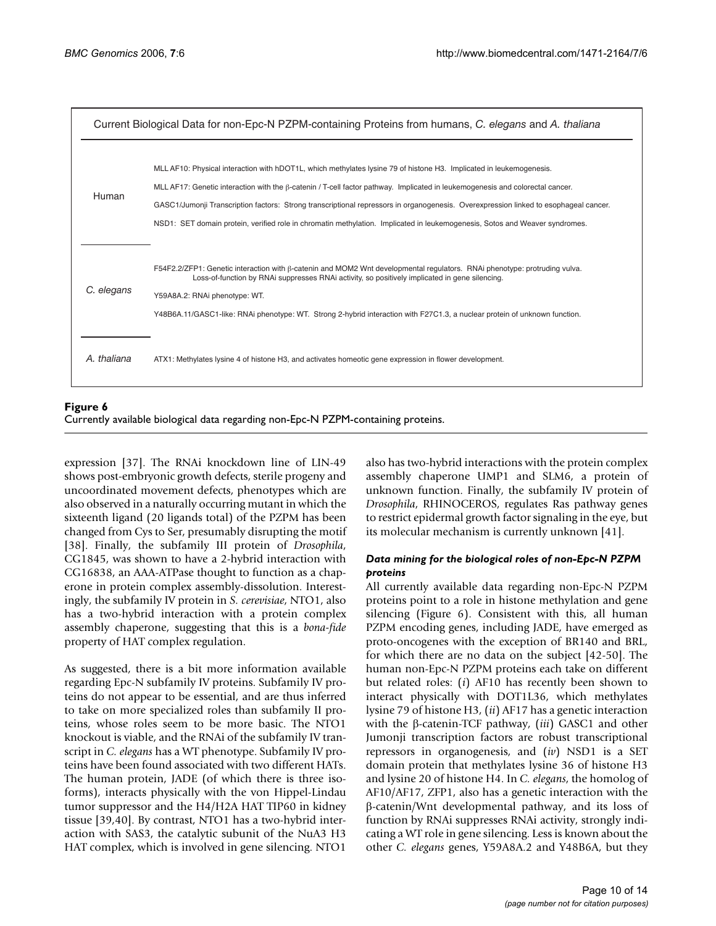

### Currently available biological data regar **Figure 6** ding non-Epc-N PZPM-containing proteins

Currently available biological data regarding non-Epc-N PZPM-containing proteins.

expression [37]. The RNAi knockdown line of LIN-49 shows post-embryonic growth defects, sterile progeny and uncoordinated movement defects, phenotypes which are also observed in a naturally occurring mutant in which the sixteenth ligand (20 ligands total) of the PZPM has been changed from Cys to Ser, presumably disrupting the motif [[38](#page-13-0)]. Finally, the subfamily III protein of *Drosophila*, CG1845, was shown to have a 2-hybrid interaction with CG16838, an AAA-ATPase thought to function as a chaperone in protein complex assembly-dissolution. Interestingly, the subfamily IV protein in *S. cerevisiae*, NTO1, also has a two-hybrid interaction with a protein complex assembly chaperone, suggesting that this is a *bona-fide* property of HAT complex regulation.

As suggested, there is a bit more information available regarding Epc-N subfamily IV proteins. Subfamily IV proteins do not appear to be essential, and are thus inferred to take on more specialized roles than subfamily II proteins, whose roles seem to be more basic. The NTO1 knockout is viable, and the RNAi of the subfamily IV transcript in *C. elegans* has a WT phenotype. Subfamily IV proteins have been found associated with two different HATs. The human protein, JADE (of which there is three isoforms), interacts physically with the von Hippel-Lindau tumor suppressor and the H4/H2A HAT TIP60 in kidney tissue [39,40]. By contrast, NTO1 has a two-hybrid interaction with SAS3, the catalytic subunit of the NuA3 H3 HAT complex, which is involved in gene silencing. NTO1

also has two-hybrid interactions with the protein complex assembly chaperone UMP1 and SLM6, a protein of unknown function. Finally, the subfamily IV protein of *Drosophila*, RHINOCEROS, regulates Ras pathway genes to restrict epidermal growth factor signaling in the eye, but its molecular mechanism is currently unknown [[41](#page-13-1)].

# *Data mining for the biological roles of non-Epc-N PZPM proteins*

All currently available data regarding non-Epc-N PZPM proteins point to a role in histone methylation and gene silencing (Figure 6). Consistent with this, all human PZPM encoding genes, including JADE, have emerged as proto-oncogenes with the exception of BR140 and BRL, for which there are no data on the subject [42-50]. The human non-Epc-N PZPM proteins each take on different but related roles: (*i*) AF10 has recently been shown to interact physically with DOT1L36, which methylates lysine 79 of histone H3, (*ii*) AF17 has a genetic interaction with the β-catenin-TCF pathway, (*iii*) GASC1 and other Jumonji transcription factors are robust transcriptional repressors in organogenesis, and (*iv*) NSD1 is a SET domain protein that methylates lysine 36 of histone H3 and lysine 20 of histone H4. In *C. elegans*, the homolog of AF10/AF17, ZFP1, also has a genetic interaction with the β-catenin/Wnt developmental pathway, and its loss of function by RNAi suppresses RNAi activity, strongly indicating a WT role in gene silencing. Less is known about the other *C. elegans* genes, Y59A8A.2 and Y48B6A, but they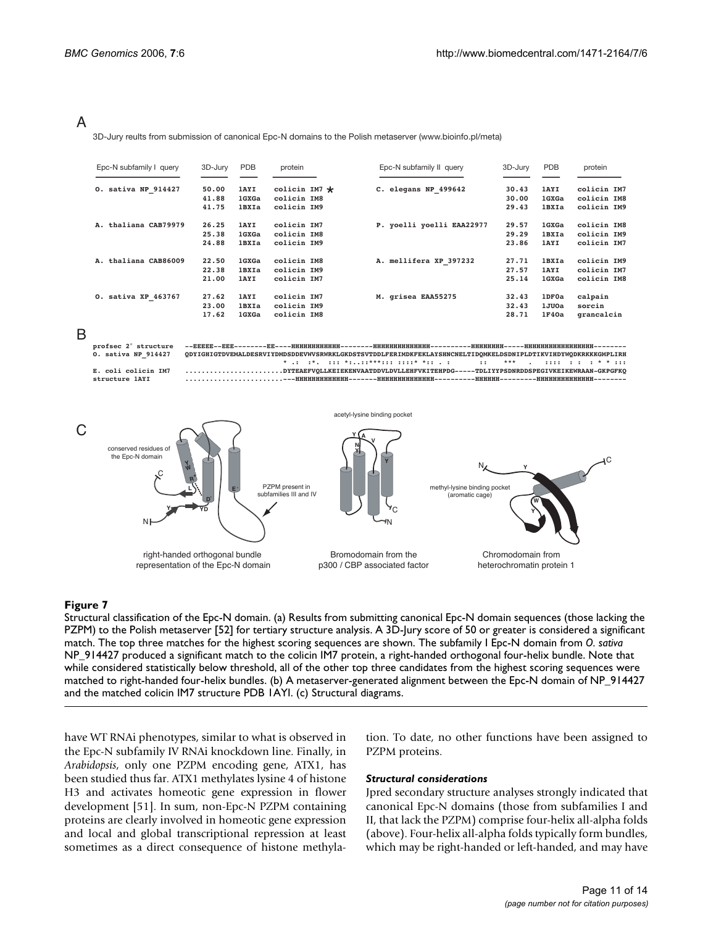A

3D-Jury reults from submission of canonical Epc-N domains to the Polish metaserver (www.bioinfo.pl/meta)

| Epc-N subfamily I query | 3D-Jury | <b>PDB</b>       | protein             | Epc-N subfamily II query  | 3D-Jurv | <b>PDB</b> | protein     |
|-------------------------|---------|------------------|---------------------|---------------------------|---------|------------|-------------|
| sativa NP 914427<br>о.  | 50.00   | 1AYI             | colicin IM7 $\star$ | C. elegans NP 499642      | 30.43   | 1AYI       | colicin IM7 |
|                         | 41.88   | $1$ $G$ $X$ $Ga$ | colicin IM8         |                           | 30.00   | 1GXGa      | colicin IM8 |
|                         | 41.75   | 1BXIa            | colicin IM9         |                           | 29.43   | 1BXIa      | colicin IM9 |
| A. thaliana CAB79979    | 26.25   | 1AYI             | colicin IM7         | P. yoelli yoelli EAA22977 | 29.57   | 1GXGa      | colicin IM8 |
|                         | 25.38   | 1GXGa            | colicin IM8         |                           | 29.29   | 1BXIa      | colicin IM9 |
|                         | 24.88   | 1BXIa            | colicin IM9         |                           | 23.86   | 1AYI       | colicin IM7 |
| A. thaliana CAB86009    | 22.50   | 1GXGa            | colicin IM8         | A. mellifera XP 397232    | 27.71   | 1BXIa      | colicin IM9 |
|                         | 22.38   | 1BXIa            | colicin IM9         |                           | 27.57   | 1AYI       | colicin IM7 |
|                         | 21.00   | 1AYI             | colicin IM7         |                           | 25.14   | 1GXGa      | colicin IM8 |
| sativa XP 463767<br>о.  | 27.62   | 1AYI             | colicin IM7         | M. grisea EAA55275        | 32.43   | 1DF0a      | calpain     |
|                         | 23.00   | 1BXIa            | colicin IM9         |                           | 32.43   | 1JU0a      | sorcin      |
|                         | 17.62   | 1GXGa            | colicin IM8         |                           | 28.71   | 1F40a      | qrancalcin  |

B

profsec 2° structure --EEEEE--EEE--------EE----HHHHHHHHHHHH--------HHHHHHHHHHHHHH----------HHHHHHHH-----HHHHHHHHHHHHHHHHH--------

O. sativa NP\_914427 QDYIGHIGTDVEMALDESRVIYDMDSDDEVWVSRWRKLGKDSTSVTDDLFERIMDKFEKLAYSHNCNELTIDQMKELDSDNIPLDTIKVIHDYWQDKRKKKGMPLIRH  $\texttt{k.} \quad \texttt{colic} \quad \texttt{NN} \quad \texttt{N} \quad \texttt{N} \quad \texttt{N} \quad \texttt{N} \quad \texttt{N} \quad \texttt{N} \quad \texttt{N} \quad \texttt{N} \quad \texttt{N} \quad \texttt{N} \quad \texttt{N} \quad \texttt{N} \quad \texttt{N} \quad \texttt{N} \quad \texttt{N} \quad \texttt{N} \quad \texttt{N} \quad \texttt{N} \quad \texttt{N} \quad \texttt{N} \quad \texttt{N} \quad \texttt{N} \quad \texttt{N} \quad \texttt{N} \quad \texttt$ E. coli colicin IM7 ........................DYTEAEFVQLLKEIEKENVAATDDVLDVLLEHFVKITEHPDG-----TDLIYYPSDNRDDSPEGIVKEIKEWRAAN-GKPGFKQ structure 1AYI ........................---HHHHHHHHHHHHH-------HHHHHHHHHHHHHH----------HHHHHH---------HHHHHHHHHHHHHH--------



### **Figure 7**

Structural classification of the Epc-N domain. (a) Results from submitting canonical Epc-N domain sequences (those lacking the PZPM) to the Polish metaserver [52] for tertiary structure analysis. A 3D-Jury score of 50 or greater is considered a significant match. The top three matches for the highest scoring sequences are shown. The subfamily I Epc-N domain from *O. sativa*  NP\_914427 produced a significant match to the colicin IM7 protein, a right-handed orthogonal four-helix bundle. Note that while considered statistically below threshold, all of the other top three candidates from the highest scoring sequences were matched to right-handed four-helix bundles. (b) A metaserver-generated alignment between the Epc-N domain of NP\_914427 and the matched colicin IM7 structure PDB 1AYI. (c) Structural diagrams.

have WT RNAi phenotypes, similar to what is observed in the Epc-N subfamily IV RNAi knockdown line. Finally, in *Arabidopsis*, only one PZPM encoding gene, ATX1, has been studied thus far. ATX1 methylates lysine 4 of histone H3 and activates homeotic gene expression in flower development [51]. In sum, non-Epc-N PZPM containing proteins are clearly involved in homeotic gene expression and local and global transcriptional repression at least sometimes as a direct consequence of histone methylation. To date, no other functions have been assigned to PZPM proteins.

#### *Structural considerations*

Jpred secondary structure analyses strongly indicated that canonical Epc-N domains (those from subfamilies I and II, that lack the PZPM) comprise four-helix all-alpha folds (above). Four-helix all-alpha folds typically form bundles, which may be right-handed or left-handed, and may have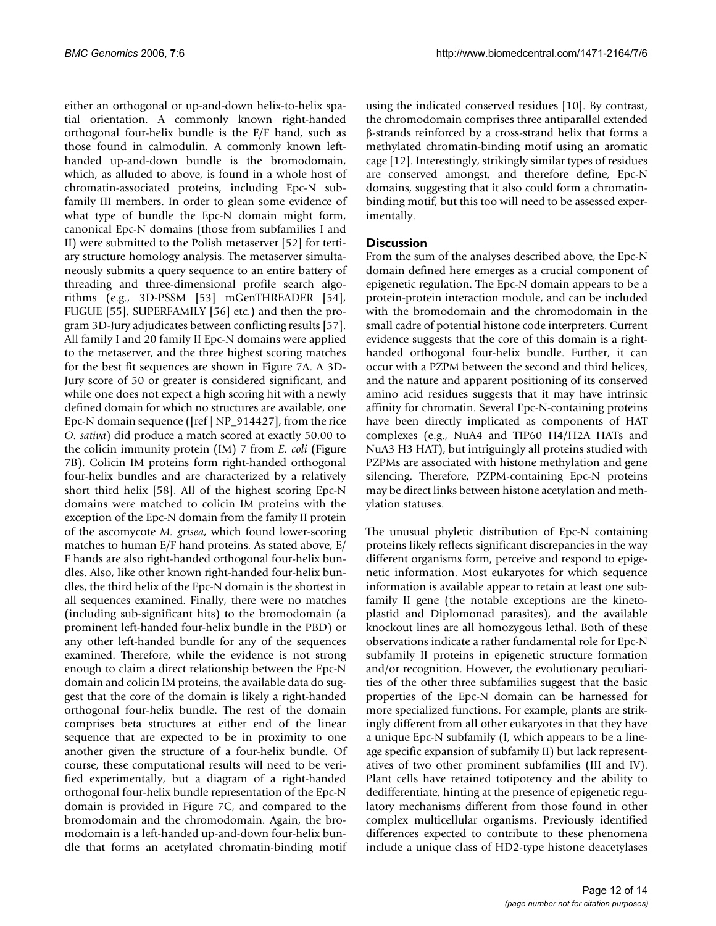either an orthogonal or up-and-down helix-to-helix spatial orientation. A commonly known right-handed orthogonal four-helix bundle is the E/F hand, such as those found in calmodulin. A commonly known lefthanded up-and-down bundle is the bromodomain, which, as alluded to above, is found in a whole host of chromatin-associated proteins, including Epc-N subfamily III members. In order to glean some evidence of what type of bundle the Epc-N domain might form, canonical Epc-N domains (those from subfamilies I and II) were submitted to the Polish metaserver [52] for tertiary structure homology analysis. The metaserver simultaneously submits a query sequence to an entire battery of threading and three-dimensional profile search algorithms (e.g., 3D-PSSM [53] mGenTHREADER [54], FUGUE [55], SUPERFAMILY [56] etc.) and then the program 3D-Jury adjudicates between conflicting results [57]. All family I and 20 family II Epc-N domains were applied to the metaserver, and the three highest scoring matches for the best fit sequences are shown in Figure 7A. A 3D-Jury score of 50 or greater is considered significant, and while one does not expect a high scoring hit with a newly defined domain for which no structures are available, one Epc-N domain sequence ([ref | NP\_914427], from the rice *O. sativa*) did produce a match scored at exactly 50.00 to the colicin immunity protein (IM) 7 from *E. coli* (Figure 7B). Colicin IM proteins form right-handed orthogonal four-helix bundles and are characterized by a relatively short third helix [58]. All of the highest scoring Epc-N domains were matched to colicin IM proteins with the exception of the Epc-N domain from the family II protein of the ascomycote *M. grisea*, which found lower-scoring matches to human E/F hand proteins. As stated above, E/ F hands are also right-handed orthogonal four-helix bundles. Also, like other known right-handed four-helix bundles, the third helix of the Epc-N domain is the shortest in all sequences examined. Finally, there were no matches (including sub-significant hits) to the bromodomain (a prominent left-handed four-helix bundle in the PBD) or any other left-handed bundle for any of the sequences examined. Therefore, while the evidence is not strong enough to claim a direct relationship between the Epc-N domain and colicin IM proteins, the available data do suggest that the core of the domain is likely a right-handed orthogonal four-helix bundle. The rest of the domain comprises beta structures at either end of the linear sequence that are expected to be in proximity to one another given the structure of a four-helix bundle. Of course, these computational results will need to be verified experimentally, but a diagram of a right-handed orthogonal four-helix bundle representation of the Epc-N domain is provided in Figure 7C, and compared to the bromodomain and the chromodomain. Again, the bromodomain is a left-handed up-and-down four-helix bundle that forms an acetylated chromatin-binding motif using the indicated conserved residues [10]. By contrast, the chromodomain comprises three antiparallel extended β-strands reinforced by a cross-strand helix that forms a methylated chromatin-binding motif using an aromatic cage [12]. Interestingly, strikingly similar types of residues are conserved amongst, and therefore define, Epc-N domains, suggesting that it also could form a chromatinbinding motif, but this too will need to be assessed experimentally.

# **Discussion**

From the sum of the analyses described above, the Epc-N domain defined here emerges as a crucial component of epigenetic regulation. The Epc-N domain appears to be a protein-protein interaction module, and can be included with the bromodomain and the chromodomain in the small cadre of potential histone code interpreters. Current evidence suggests that the core of this domain is a righthanded orthogonal four-helix bundle. Further, it can occur with a PZPM between the second and third helices, and the nature and apparent positioning of its conserved amino acid residues suggests that it may have intrinsic affinity for chromatin. Several Epc-N-containing proteins have been directly implicated as components of HAT complexes (e.g., NuA4 and TIP60 H4/H2A HATs and NuA3 H3 HAT), but intriguingly all proteins studied with PZPMs are associated with histone methylation and gene silencing. Therefore, PZPM-containing Epc-N proteins may be direct links between histone acetylation and methylation statuses.

The unusual phyletic distribution of Epc-N containing proteins likely reflects significant discrepancies in the way different organisms form, perceive and respond to epigenetic information. Most eukaryotes for which sequence information is available appear to retain at least one subfamily II gene (the notable exceptions are the kinetoplastid and Diplomonad parasites), and the available knockout lines are all homozygous lethal. Both of these observations indicate a rather fundamental role for Epc-N subfamily II proteins in epigenetic structure formation and/or recognition. However, the evolutionary peculiarities of the other three subfamilies suggest that the basic properties of the Epc-N domain can be harnessed for more specialized functions. For example, plants are strikingly different from all other eukaryotes in that they have a unique Epc-N subfamily (I, which appears to be a lineage specific expansion of subfamily II) but lack representatives of two other prominent subfamilies (III and IV). Plant cells have retained totipotency and the ability to dedifferentiate, hinting at the presence of epigenetic regulatory mechanisms different from those found in other complex multicellular organisms. Previously identified differences expected to contribute to these phenomena include a unique class of HD2-type histone deacetylases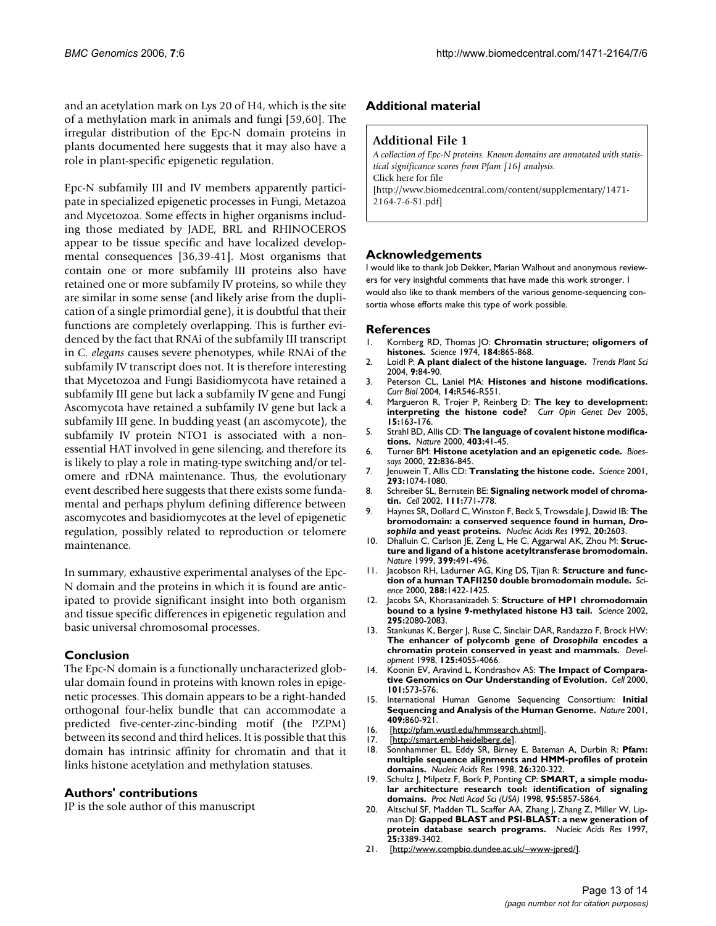and an acetylation mark on Lys 20 of H4, which is the site of a methylation mark in animals and fungi [[59](#page-13-2),60]. The irregular distribution of the Epc-N domain proteins in plants documented here suggests that it may also have a role in plant-specific epigenetic regulation.

Epc-N subfamily III and IV members apparently participate in specialized epigenetic processes in Fungi, Metazoa and Mycetozoa. Some effects in higher organisms including those mediated by JADE, BRL and RHINOCEROS appear to be tissue specific and have localized developmental consequences [36,39[-41](#page-13-1)]. Most organisms that contain one or more subfamily III proteins also have retained one or more subfamily IV proteins, so while they are similar in some sense (and likely arise from the duplication of a single primordial gene), it is doubtful that their functions are completely overlapping. This is further evidenced by the fact that RNAi of the subfamily III transcript in *C. elegans* causes severe phenotypes, while RNAi of the subfamily IV transcript does not. It is therefore interesting that Mycetozoa and Fungi Basidiomycota have retained a subfamily III gene but lack a subfamily IV gene and Fungi Ascomycota have retained a subfamily IV gene but lack a subfamily III gene. In budding yeast (an ascomycote), the subfamily IV protein NTO1 is associated with a nonessential HAT involved in gene silencing, and therefore its is likely to play a role in mating-type switching and/or telomere and rDNA maintenance. Thus, the evolutionary event described here suggests that there exists some fundamental and perhaps phylum defining difference between ascomycotes and basidiomycotes at the level of epigenetic regulation, possibly related to reproduction or telomere maintenance.

In summary, exhaustive experimental analyses of the Epc-N domain and the proteins in which it is found are anticipated to provide significant insight into both organism and tissue specific differences in epigenetic regulation and basic universal chromosomal processes.

# **Conclusion**

The Epc-N domain is a functionally uncharacterized globular domain found in proteins with known roles in epigenetic processes. This domain appears to be a right-handed orthogonal four-helix bundle that can accommodate a predicted five-center-zinc-binding motif (the PZPM) between its second and third helices. It is possible that this domain has intrinsic affinity for chromatin and that it links histone acetylation and methylation statuses.

### **Authors' contributions**

JP is the sole author of this manuscript

## **Additional material**

#### **Additional File 1**

*A collection of Epc-N proteins. Known domains are annotated with statistical significance scores from Pfam [16] analysis.* Click here for file [\[http://www.biomedcentral.com/content/supplementary/1471-](http://www.biomedcentral.com/content/supplementary/1471-2164-7-6-S1.pdf) 2164-7-6-S1.pdf]

### **Acknowledgements**

I would like to thank Job Dekker, Marian Walhout and anonymous reviewers for very insightful comments that have made this work stronger. I would also like to thank members of the various genome-sequencing consortia whose efforts make this type of work possible.

#### **References**

- 1. Kornberg RD, Thomas JO: **[Chromatin structure; oligomers of](http://www.ncbi.nlm.nih.gov/entrez/query.fcgi?cmd=Retrieve&db=PubMed&dopt=Abstract&list_uids=4825888) [histones.](http://www.ncbi.nlm.nih.gov/entrez/query.fcgi?cmd=Retrieve&db=PubMed&dopt=Abstract&list_uids=4825888)** *Science* 1974, **184:**865-868.
- 2. Loidl P: **[A plant dialect of the histone language.](http://www.ncbi.nlm.nih.gov/entrez/query.fcgi?cmd=Retrieve&db=PubMed&dopt=Abstract&list_uids=15102374)** *Trends Plant Sci* 2004, **9:**84-90.
- 3. Peterson CL, Laniel MA: **[Histones and histone modifications.](http://www.ncbi.nlm.nih.gov/entrez/query.fcgi?cmd=Retrieve&db=PubMed&dopt=Abstract&list_uids=15268870)** *Curr Biol* 2004, **14:**R546-R551.
- 4. Margueron R, Trojer P, Reinberg D: **[The key to development:](http://www.ncbi.nlm.nih.gov/entrez/query.fcgi?cmd=Retrieve&db=PubMed&dopt=Abstract&list_uids=15797199) [interpreting the histone code?](http://www.ncbi.nlm.nih.gov/entrez/query.fcgi?cmd=Retrieve&db=PubMed&dopt=Abstract&list_uids=15797199)** *Curr Opin Genet Dev* 2005, **15:**163-176.
- 5. Strahl BD, Allis CD: **[The language of covalent histone modifica](http://www.ncbi.nlm.nih.gov/entrez/query.fcgi?cmd=Retrieve&db=PubMed&dopt=Abstract&list_uids=10638745)[tions.](http://www.ncbi.nlm.nih.gov/entrez/query.fcgi?cmd=Retrieve&db=PubMed&dopt=Abstract&list_uids=10638745)** *Nature* 2000, **403:**41-45.
- 6. Turner BM: **[Histone acetylation and an epigenetic code.](http://www.ncbi.nlm.nih.gov/entrez/query.fcgi?cmd=Retrieve&db=PubMed&dopt=Abstract&list_uids=10944586)** *Bioessays* 2000, **22:**836-845.
- 7. Jenuwein T, Allis CD: **[Translating the histone code.](http://www.ncbi.nlm.nih.gov/entrez/query.fcgi?cmd=Retrieve&db=PubMed&dopt=Abstract&list_uids=11498575)** *Science* 2001, **293:**1074-1080.
- 8. Schreiber SL, Bernstein BE: **[Signaling network model of chroma](http://www.ncbi.nlm.nih.gov/entrez/query.fcgi?cmd=Retrieve&db=PubMed&dopt=Abstract&list_uids=12526804)[tin.](http://www.ncbi.nlm.nih.gov/entrez/query.fcgi?cmd=Retrieve&db=PubMed&dopt=Abstract&list_uids=12526804)** *Cell* 2002, **111:**771-778.
- 9. Haynes SR, Dollard C, Winston F, Beck S, Trowsdale J, Dawid IB: **The bromodomain: a conserved sequence found in human,** *Drosophila* **[and yeast proteins.](http://www.ncbi.nlm.nih.gov/entrez/query.fcgi?cmd=Retrieve&db=PubMed&dopt=Abstract&list_uids=1350857)** *Nucleic Acids Res* 1992, **20:**2603.
- 10. Dhalluin C, Carlson JE, Zeng L, He C, Aggarwal AK, Zhou M: **[Struc](http://www.ncbi.nlm.nih.gov/entrez/query.fcgi?cmd=Retrieve&db=PubMed&dopt=Abstract&list_uids=10365964)[ture and ligand of a histone acetyltransferase bromodomain.](http://www.ncbi.nlm.nih.gov/entrez/query.fcgi?cmd=Retrieve&db=PubMed&dopt=Abstract&list_uids=10365964)** *Nature* 1999, **399:**491-496.
- 11. Jacobson RH, Ladurner AG, King DS, Tjian R: **[Structure and func](http://www.ncbi.nlm.nih.gov/entrez/query.fcgi?cmd=Retrieve&db=PubMed&dopt=Abstract&list_uids=10827952)[tion of a human TAFII250 double bromodomain module.](http://www.ncbi.nlm.nih.gov/entrez/query.fcgi?cmd=Retrieve&db=PubMed&dopt=Abstract&list_uids=10827952)** *Science* 2000, **288:**1422-1425.
- 12. Jacobs SA, Khorasanizadeh S: **[Structure of HP1 chromodomain](http://www.ncbi.nlm.nih.gov/entrez/query.fcgi?cmd=Retrieve&db=PubMed&dopt=Abstract&list_uids=11859155) [bound to a lysine 9-methylated histone H3 tail.](http://www.ncbi.nlm.nih.gov/entrez/query.fcgi?cmd=Retrieve&db=PubMed&dopt=Abstract&list_uids=11859155)** *Science* 2002, **295:**2080-2083.
- <span id="page-12-0"></span>13. Stankunas K, Berger J, Ruse C, Sinclair DAR, Randazzo F, Brock HW: **The enhancer of polycomb gene of** *Drosophila* **[encodes a](http://www.ncbi.nlm.nih.gov/entrez/query.fcgi?cmd=Retrieve&db=PubMed&dopt=Abstract&list_uids=9735366) [chromatin protein conserved in yeast and mammals.](http://www.ncbi.nlm.nih.gov/entrez/query.fcgi?cmd=Retrieve&db=PubMed&dopt=Abstract&list_uids=9735366)** *Development* 1998, **125:**4055-4066.
- 14. Koonin EV, Aravind L, Kondrashov AS: **[The Impact of Compara](http://www.ncbi.nlm.nih.gov/entrez/query.fcgi?cmd=Retrieve&db=PubMed&dopt=Abstract&list_uids=10892642)[tive Genomics on Our Understanding of Evolution.](http://www.ncbi.nlm.nih.gov/entrez/query.fcgi?cmd=Retrieve&db=PubMed&dopt=Abstract&list_uids=10892642)** *Cell* 2000, **101:**573-576.
- 15. International Human Genome Sequencing Consortium: **[Initial](http://www.ncbi.nlm.nih.gov/entrez/query.fcgi?cmd=Retrieve&db=PubMed&dopt=Abstract&list_uids=11237011) [Sequencing and Analysis of the Human Genome.](http://www.ncbi.nlm.nih.gov/entrez/query.fcgi?cmd=Retrieve&db=PubMed&dopt=Abstract&list_uids=11237011)** *Nature* 2001, **409:**860-921.
- 16. [[http://pfam.wustl.edu/hmmsearch.shtml\]](http://pfam.wustl.edu/hmmsearch.shtml).<br>17 [http://smart.embl-beidelberg.de]
- [<http://smart.embl-heidelberg.de>].
- 18. Sonnhammer EL, Eddy SR, Birney E, Bateman A, Durbin R: **[Pfam:](http://www.ncbi.nlm.nih.gov/entrez/query.fcgi?cmd=Retrieve&db=PubMed&dopt=Abstract&list_uids=9399864) [multiple sequence alignments and HMM-profiles of protein](http://www.ncbi.nlm.nih.gov/entrez/query.fcgi?cmd=Retrieve&db=PubMed&dopt=Abstract&list_uids=9399864) [domains.](http://www.ncbi.nlm.nih.gov/entrez/query.fcgi?cmd=Retrieve&db=PubMed&dopt=Abstract&list_uids=9399864)** *Nucleic Acids Res* 1998, **26:**320-322.
- 19. Schultz J, Milpetz F, Bork P, Ponting CP: **SMART, a simple modular architecture research tool: identification of signaling domains.** *Proc Natl Acad Sci (USA)* 1998, **95:**5857-5864.
- 20. Altschul SF, Madden TL, Scaffer AA, Zhang J, Zhang Z, Miller W, Lipman DJ: **[Gapped BLAST and PSI-BLAST: a new generation of](http://www.ncbi.nlm.nih.gov/entrez/query.fcgi?cmd=Retrieve&db=PubMed&dopt=Abstract&list_uids=9254694) [protein database search programs.](http://www.ncbi.nlm.nih.gov/entrez/query.fcgi?cmd=Retrieve&db=PubMed&dopt=Abstract&list_uids=9254694)** *Nucleic Acids Res* 1997, **25:**3389-3402.
- 21. [<http://www.compbio.dundee.ac.uk/~www-jpred/>].